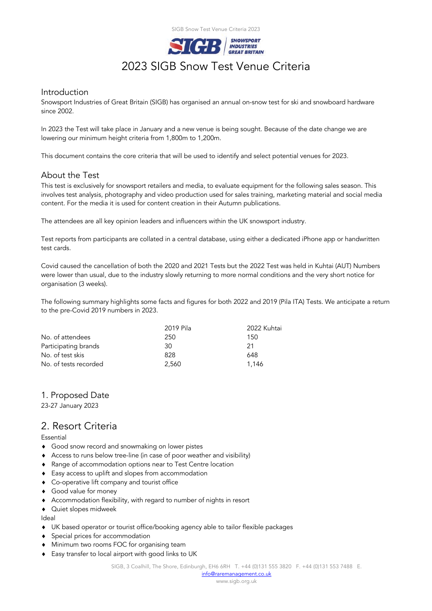

# **SIGB** SNOWSPORT<br>2023 SIGB Snow Test Venue Criteria

## Introduction

Snowsport Industries of Great Britain (SIGB) has organised an annual on-snow test for ski and snowboard hardware since 2002.

In 2023 the Test will take place in January and a new venue is being sought. Because of the date change we are lowering our minimum height criteria from 1,800m to 1,200m.

This document contains the core criteria that will be used to identify and select potential venues for 2023.

## About the Test

This test is exclusively for snowsport retailers and media, to evaluate equipment for the following sales season. This involves test analysis, photography and video production used for sales training, marketing material and social media content. For the media it is used for content creation in their Autumn publications.

The attendees are all key opinion leaders and influencers within the UK snowsport industry.

Test reports from participants are collated in a central database, using either a dedicated iPhone app or handwritten test cards.

Covid caused the cancellation of both the 2020 and 2021 Tests but the 2022 Test was held in Kuhtai (AUT) Numbers were lower than usual, due to the industry slowly returning to more normal conditions and the very short notice for organisation (3 weeks).

The following summary highlights some facts and figures for both 2022 and 2019 (Pila ITA) Tests. We anticipate a return to the pre-Covid 2019 numbers in 2023.

|                       | 2019 Pila | 2022 Kuhtai |
|-----------------------|-----------|-------------|
| No. of attendees      | 250       | 150         |
| Participating brands  | 30        | 21          |
| No. of test skis      | 828       | 648         |
| No. of tests recorded | 2.560     | 1.146       |

## 1. Proposed Date

23-27 January 2023

# 2. Resort Criteria

#### Essential

- **•** Good snow record and snowmaking on lower pistes
- ! Access to runs below tree-line (in case of poor weather and visibility)
- ! Range of accommodation options near to Test Centre location
- $\bullet$  Easy access to uplift and slopes from accommodation
- ! Co-operative lift company and tourist office
- ◆ Good value for money
- ! Accommodation flexibility, with regard to number of nights in resort
- $\triangleleft$  Quiet slopes midweek

Ideal

- ! UK based operator or tourist office/booking agency able to tailor flexible packages
- ! Special prices for accommodation
- $\bullet$  Minimum two rooms FOC for organising team
- ◆ Easy transfer to local airport with good links to UK